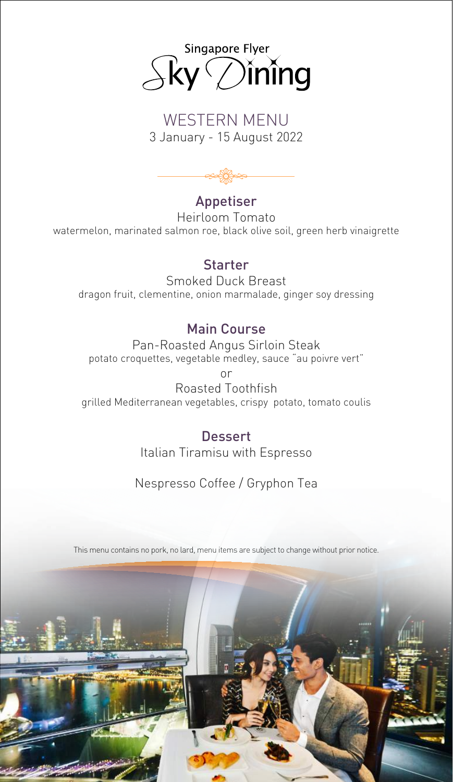

# WESTERN MENU 3 January - 15 August 2022



# Appetiser

Heirloom Tomato watermelon, marinated salmon roe, black olive soil, green herb vinaigrette

#### Starter

Smoked Duck Breast dragon fruit, clementine, onion marmalade, ginger soy dressing

#### Main Course

Pan-Roasted Angus Sirloin Steak potato croquettes, vegetable medley, sauce "au poivre vert" or

Roasted Toothfish grilled Mediterranean vegetables, crispy potato, tomato coulis

> **Dessert** Italian Tiramisu with Espresso

# Nespresso Coffee / Gryphon Tea

This menu contains no pork, no lard, menu items are subject to change without prior notice.

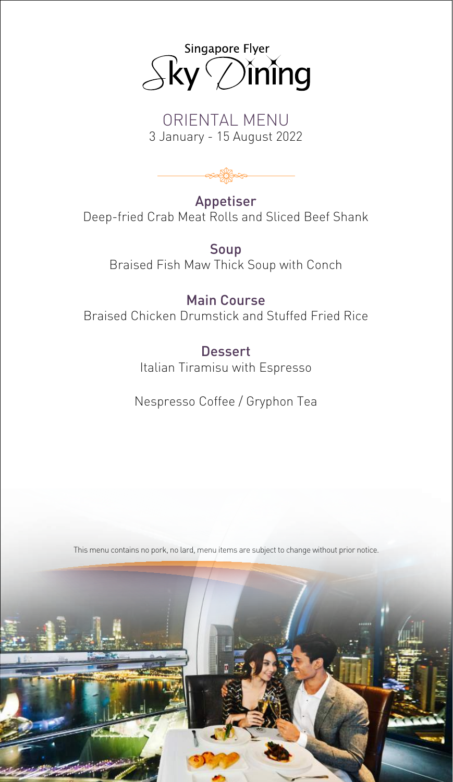

### ORIENTAL MENU 3 January - 15 August 2022



Appetiser Deep-fried Crab Meat Rolls and Sliced Beef Shank

Soup Braised Fish Maw Thick Soup with Conch

### Main Course

Braised Chicken Drumstick and Stuffed Fried Rice

Dessert Italian Tiramisu with Espresso

Nespresso Coffee / Gryphon Tea

This menu contains no pork, no lard, menu items are subject to change without prior notice.